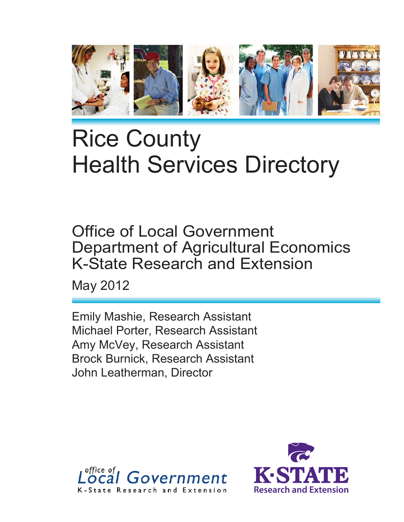

# Rice County Health Services Directory

Office of Local Government Department of Agricultural Economics K-State Research and Extension

May 2012

Emily Mashie, Research Assistant Michael Porter, Research Assistant Amy McVey, Research Assistant Brock Burnick, Research Assistant John Leatherman, Director



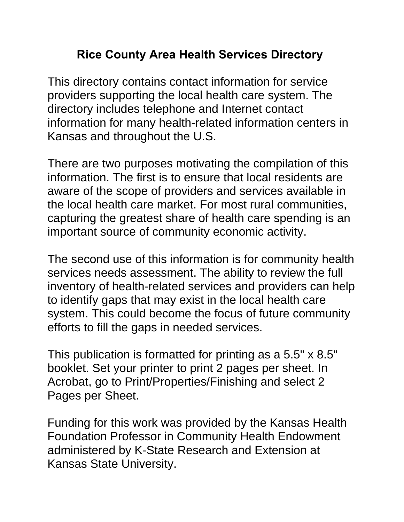# **Rice County Area Health Services Directory**

This directory contains contact information for service providers supporting the local health care system. The directory includes telephone and Internet contact information for many health-related information centers in Kansas and throughout the U.S.

There are two purposes motivating the compilation of this information. The first is to ensure that local residents are aware of the scope of providers and services available in the local health care market. For most rural communities, capturing the greatest share of health care spending is an important source of community economic activity.

The second use of this information is for community health services needs assessment. The ability to review the full inventory of health-related services and providers can help to identify gaps that may exist in the local health care system. This could become the focus of future community efforts to fill the gaps in needed services.

This publication is formatted for printing as a 5.5" x 8.5" booklet. Set your printer to print 2 pages per sheet. In Acrobat, go to Print/Properties/Finishing and select 2 Pages per Sheet.

Funding for this work was provided by the Kansas Health Foundation Professor in Community Health Endowment administered by K-State Research and Extension at Kansas State University.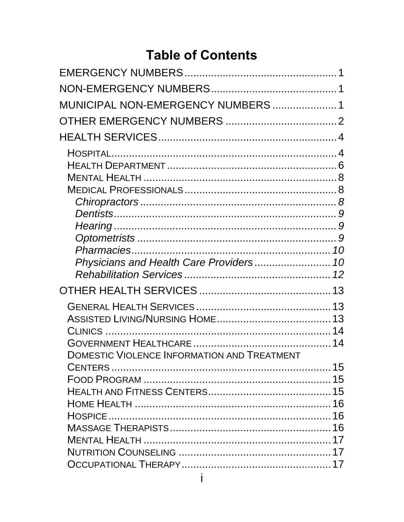# **Table of Contents**

| MUNICIPAL NON-EMERGENCY NUMBERS  1                 |  |
|----------------------------------------------------|--|
|                                                    |  |
|                                                    |  |
|                                                    |  |
|                                                    |  |
|                                                    |  |
|                                                    |  |
|                                                    |  |
|                                                    |  |
|                                                    |  |
|                                                    |  |
|                                                    |  |
|                                                    |  |
|                                                    |  |
|                                                    |  |
|                                                    |  |
|                                                    |  |
|                                                    |  |
|                                                    |  |
| <b>DOMESTIC VIOLENCE INFORMATION AND TREATMENT</b> |  |
|                                                    |  |
|                                                    |  |
|                                                    |  |
|                                                    |  |
|                                                    |  |
|                                                    |  |
|                                                    |  |
|                                                    |  |
|                                                    |  |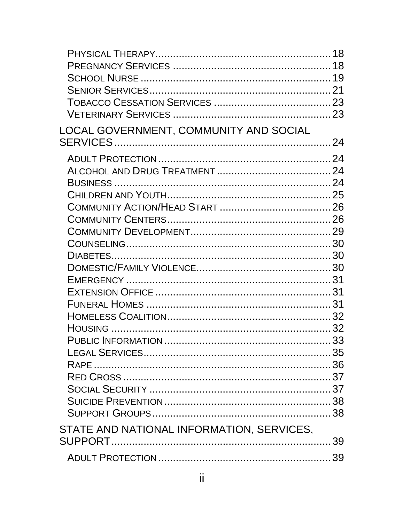| LOCAL GOVERNMENT, COMMUNITY AND SOCIAL    |  |
|-------------------------------------------|--|
|                                           |  |
|                                           |  |
|                                           |  |
|                                           |  |
|                                           |  |
|                                           |  |
|                                           |  |
|                                           |  |
|                                           |  |
|                                           |  |
|                                           |  |
|                                           |  |
|                                           |  |
|                                           |  |
|                                           |  |
|                                           |  |
|                                           |  |
|                                           |  |
|                                           |  |
|                                           |  |
|                                           |  |
|                                           |  |
|                                           |  |
|                                           |  |
| STATE AND NATIONAL INFORMATION, SERVICES, |  |
|                                           |  |
|                                           |  |
|                                           |  |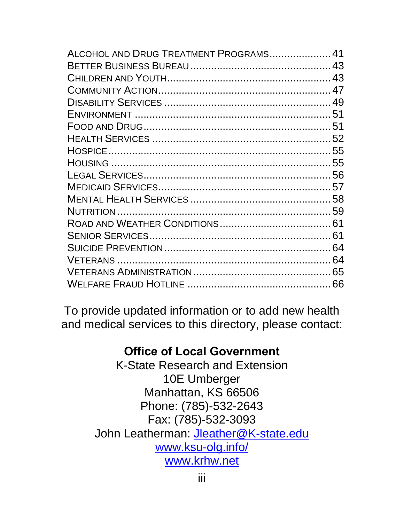| ALCOHOL AND DRUG TREATMENT PROGRAMS 41 |  |
|----------------------------------------|--|
|                                        |  |
|                                        |  |
|                                        |  |
|                                        |  |
|                                        |  |
|                                        |  |
|                                        |  |
|                                        |  |
|                                        |  |
|                                        |  |
|                                        |  |
|                                        |  |
|                                        |  |
|                                        |  |
|                                        |  |
|                                        |  |
|                                        |  |
|                                        |  |
|                                        |  |
|                                        |  |

To provide updated information or to add new health and medical services to this directory, please contact:

# **Office of Local Government**

K-State Research and Extension 10E Umberger Manhattan, KS 66506 Phone: (785)-532-2643 Fax: (785)-532-3093 John Leatherman: Jleather@K-state.edu www.ksu-olg.info/ www.krhw.net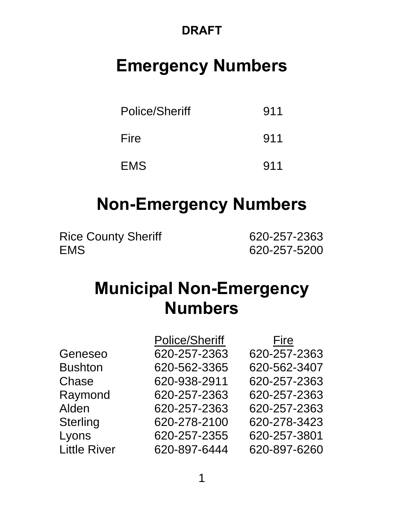# **DRAFT**

# **Emergency Numbers**

| Police/Sheriff | 911 |
|----------------|-----|
| Fire           | 911 |
| <b>EMS</b>     | 911 |

# **Non-Emergency Numbers**

Rice County Sheriff 620-257-2363 EMS 620-257-5200

# **Municipal Non-Emergency Numbers**

|                     | <b>Police/Sheriff</b> | Fire         |
|---------------------|-----------------------|--------------|
| Geneseo             | 620-257-2363          | 620-257-2363 |
| <b>Bushton</b>      | 620-562-3365          | 620-562-3407 |
| Chase               | 620-938-2911          | 620-257-2363 |
| Raymond             | 620-257-2363          | 620-257-2363 |
| Alden               | 620-257-2363          | 620-257-2363 |
| <b>Sterling</b>     | 620-278-2100          | 620-278-3423 |
| Lyons               | 620-257-2355          | 620-257-3801 |
| <b>Little River</b> | 620-897-6444          | 620-897-6260 |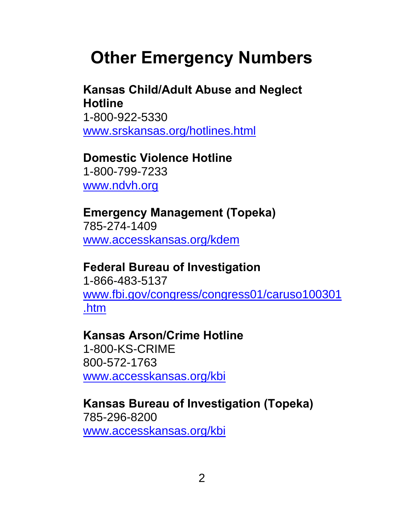# **Other Emergency Numbers**

# **Kansas Child/Adult Abuse and Neglect Hotline**

 1-800-922-5330 www.srskansas.org/hotlines.html

# **Domestic Violence Hotline**

 1-800-799-7233 www.ndvh.org

#### **Emergency Management (Topeka)**  785-274-1409

www.accesskansas.org/kdem

## **Federal Bureau of Investigation**

 1-866-483-5137 www.fbi.gov/congress/congress01/caruso100301 .htm

## **Kansas Arson/Crime Hotline**

 1-800-KS-CRIME 800-572-1763 www.accesskansas.org/kbi

#### **Kansas Bureau of Investigation (Topeka)**  785-296-8200

www.accesskansas.org/kbi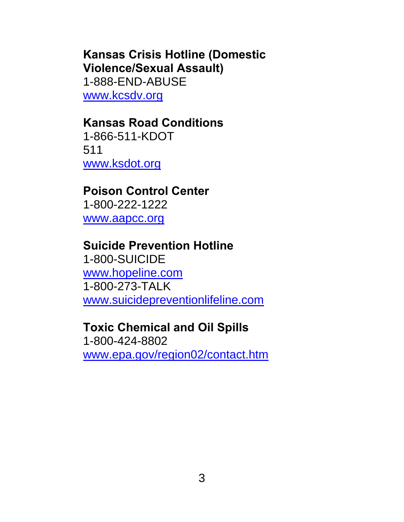# **Kansas Crisis Hotline (Domestic Violence/Sexual Assault)**  1-888-END-ABUSE

www.kcsdv.org

## **Kansas Road Conditions**

 1-866-511-KDOT 511 www.ksdot.org

## **Poison Control Center**

 1-800-222-1222 www.aapcc.org

## **Suicide Prevention Hotline**

 1-800-SUICIDE www.hopeline.com 1-800-273-TALK www.suicidepreventionlifeline.com

### **Toxic Chemical and Oil Spills**

 1-800-424-8802 www.epa.gov/region02/contact.htm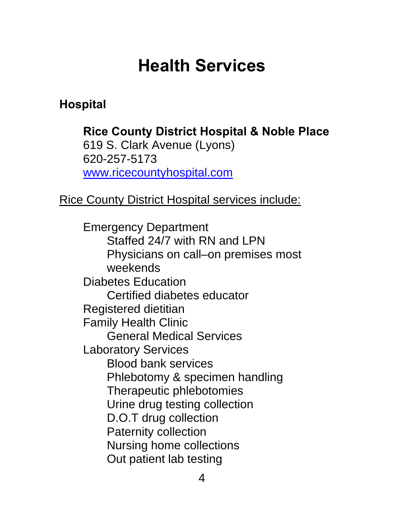# **Health Services**

# **Hospital**

**Rice County District Hospital & Noble Place**  619 S. Clark Avenue (Lyons) 620-257-5173 www.ricecountyhospital.com

Rice County District Hospital services include:

Emergency Department Staffed 24/7 with RN and LPN Physicians on call–on premises most weekends Diabetes Education Certified diabetes educator Registered dietitian Family Health Clinic General Medical Services Laboratory Services Blood bank services Phlebotomy & specimen handling Therapeutic phlebotomies Urine drug testing collection D.O.T drug collection Paternity collection Nursing home collections Out patient lab testing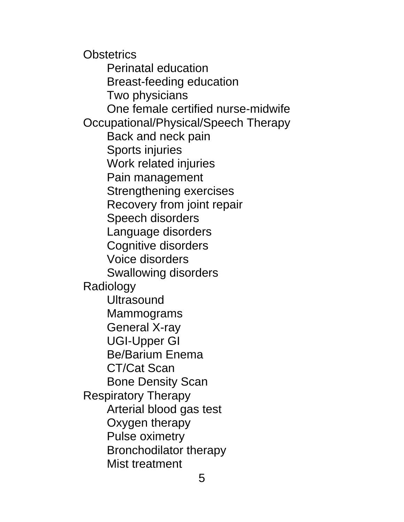**Obstetrics**  Perinatal education Breast-feeding education Two physicians One female certified nurse-midwife Occupational/Physical/Speech Therapy Back and neck pain Sports injuries Work related injuries Pain management Strengthening exercises Recovery from joint repair Speech disorders Language disorders Cognitive disorders Voice disorders Swallowing disorders Radiology **Ultrasound**  Mammograms General X-ray UGI-Upper GI Be/Barium Enema CT/Cat Scan Bone Density Scan Respiratory Therapy Arterial blood gas test Oxygen therapy Pulse oximetry Bronchodilator therapy Mist treatment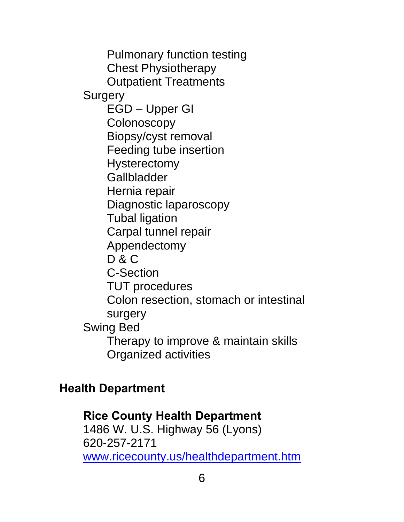Pulmonary function testing Chest Physiotherapy Outpatient Treatments **Surgery**  EGD – Upper GI **Colonoscopy**  Biopsy/cyst removal Feeding tube insertion **Hysterectomy Gallbladder**  Hernia repair Diagnostic laparoscopy Tubal ligation Carpal tunnel repair Appendectomy D & C C-Section TUT procedures Colon resection, stomach or intestinal surgery Swing Bed Therapy to improve & maintain skills Organized activities

## **Health Department**

# **Rice County Health Department**  1486 W. U.S. Highway 56 (Lyons) 620-257-2171 www.ricecounty.us/healthdepartment.htm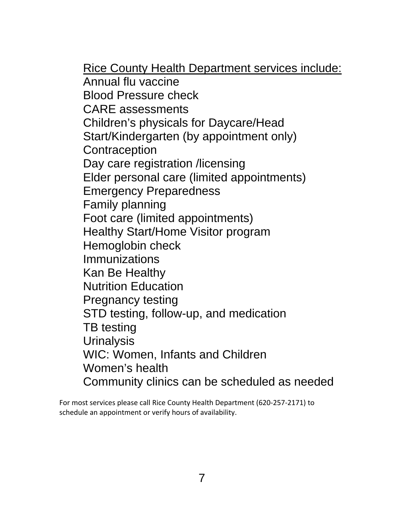Rice County Health Department services include: Annual flu vaccine Blood Pressure check CARE assessments Children's physicals for Daycare/Head Start/Kindergarten (by appointment only) **Contraception**  Day care registration /licensing Elder personal care (limited appointments) Emergency Preparedness Family planning Foot care (limited appointments) Healthy Start/Home Visitor program Hemoglobin check Immunizations Kan Be Healthy Nutrition Education Pregnancy testing STD testing, follow-up, and medication TB testing **Urinalysis**  WIC: Women, Infants and Children Women's health Community clinics can be scheduled as needed

For most services please call Rice County Health Department (620‐257‐2171) to schedule an appointment or verify hours of availability.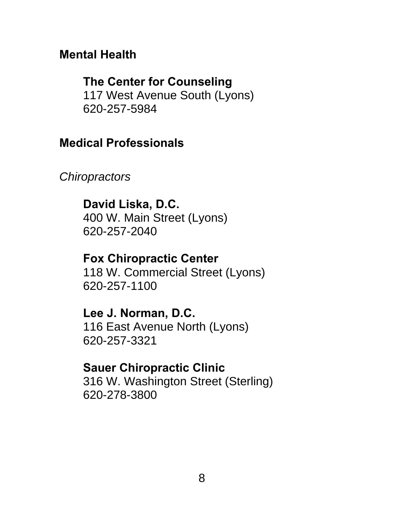## **Mental Health**

## **The Center for Counseling**

 117 West Avenue South (Lyons) 620-257-5984

## **Medical Professionals**

*Chiropractors* 

## **David Liska, D.C.**

 400 W. Main Street (Lyons) 620-257-2040

### **Fox Chiropractic Center**

 118 W. Commercial Street (Lyons) 620-257-1100

### **Lee J. Norman, D.C.**

116 East Avenue North (Lyons) 620-257-3321

## **Sauer Chiropractic Clinic**

316 W. Washington Street (Sterling) 620-278-3800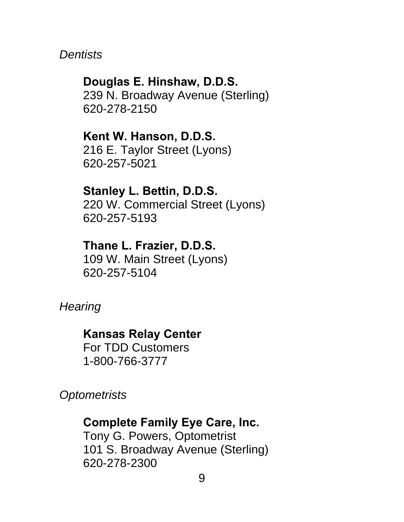*Dentists* 

**Douglas E. Hinshaw, D.D.S.**  239 N. Broadway Avenue (Sterling) 620-278-2150

**Kent W. Hanson, D.D.S.**  216 E. Taylor Street (Lyons) 620-257-5021

**Stanley L. Bettin, D.D.S.**  220 W. Commercial Street (Lyons) 620-257-5193

**Thane L. Frazier, D.D.S.** 109 W. Main Street (Lyons) 620-257-5104

*Hearing* 

**Kansas Relay Center** 

 For TDD Customers 1-800-766-3777

*Optometrists* 

**Complete Family Eye Care, Inc.**  Tony G. Powers, Optometrist

 101 S. Broadway Avenue (Sterling) 620-278-2300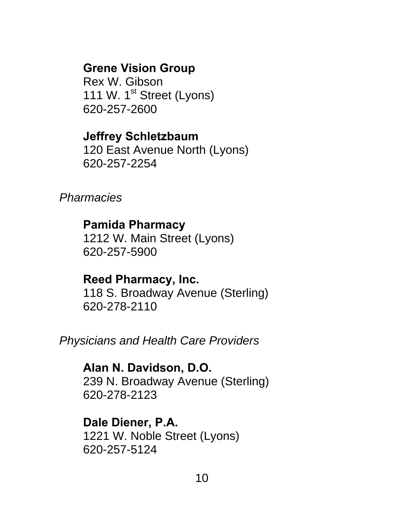## **Grene Vision Group**

 Rex W. Gibson 111 W. 1<sup>st</sup> Street (Lyons) 620-257-2600

## **Jeffrey Schletzbaum**

120 East Avenue North (Lyons) 620-257-2254

*Pharmacies* 

### **Pamida Pharmacy**

 1212 W. Main Street (Lyons) 620-257-5900

## **Reed Pharmacy, Inc.**

 118 S. Broadway Avenue (Sterling) 620-278-2110

*Physicians and Health Care Providers* 

**Alan N. Davidson, D.O.**  239 N. Broadway Avenue (Sterling) 620-278-2123

# **Dale Diener, P.A.**

1221 W. Noble Street (Lyons) 620-257-5124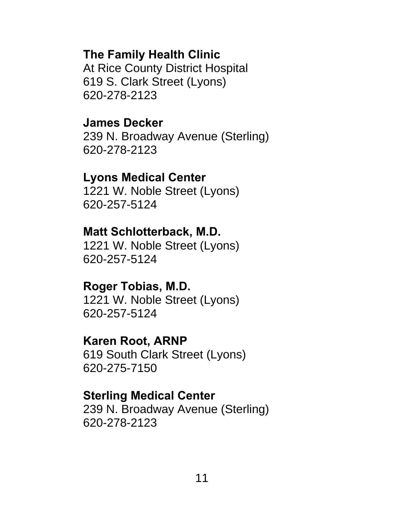## **The Family Health Clinic**

At Rice County District Hospital 619 S. Clark Street (Lyons) 620-278-2123

#### **James Decker**

 239 N. Broadway Avenue (Sterling) 620-278-2123

#### **Lyons Medical Center**

 1221 W. Noble Street (Lyons) 620-257-5124

#### **Matt Schlotterback, M.D.**

 1221 W. Noble Street (Lyons) 620-257-5124

#### **Roger Tobias, M.D.**

 1221 W. Noble Street (Lyons) 620-257-5124

#### **Karen Root, ARNP**

 619 South Clark Street (Lyons) 620-275-7150

#### **Sterling Medical Center**

 239 N. Broadway Avenue (Sterling) 620-278-2123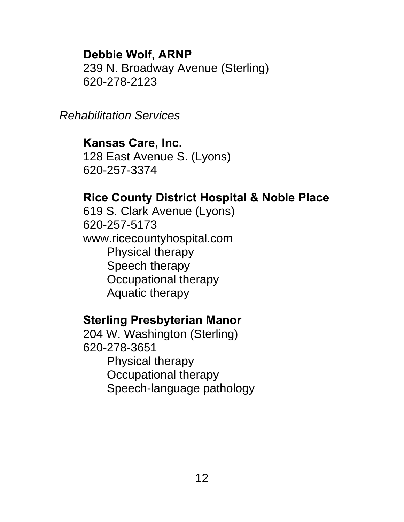## **Debbie Wolf, ARNP**

 239 N. Broadway Avenue (Sterling) 620-278-2123

*Rehabilitation Services* 

## **Kansas Care, Inc.**

128 East Avenue S. (Lyons) 620-257-3374

## **Rice County District Hospital & Noble Place**

 619 S. Clark Avenue (Lyons) 620-257-5173 www.ricecountyhospital.com Physical therapy Speech therapy Occupational therapy Aquatic therapy

### **Sterling Presbyterian Manor**

 204 W. Washington (Sterling) 620-278-3651 Physical therapy Occupational therapy Speech-language pathology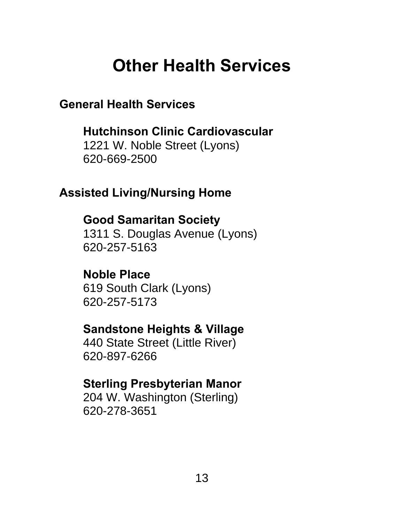# **Other Health Services**

**General Health Services** 

**Hutchinson Clinic Cardiovascular**  1221 W. Noble Street (Lyons) 620-669-2500

# **Assisted Living/Nursing Home**

# **Good Samaritan Society**

 1311 S. Douglas Avenue (Lyons) 620-257-5163

# **Noble Place**

 619 South Clark (Lyons) 620-257-5173

# **Sandstone Heights & Village**

 440 State Street (Little River) 620-897-6266

# **Sterling Presbyterian Manor**

 204 W. Washington (Sterling) 620-278-3651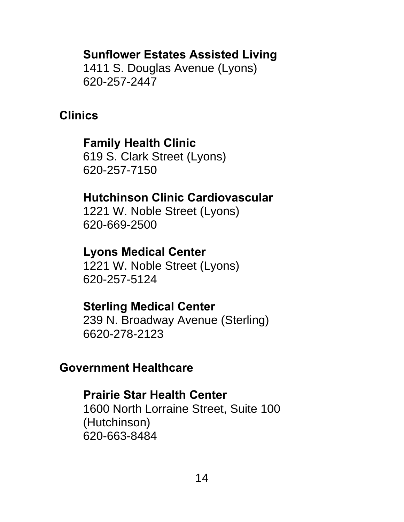## **Sunflower Estates Assisted Living**

 1411 S. Douglas Avenue (Lyons) 620-257-2447

## **Clinics**

# **Family Health Clinic**

619 S. Clark Street (Lyons) 620-257-7150

## **Hutchinson Clinic Cardiovascular**

1221 W. Noble Street (Lyons) 620-669-2500

## **Lyons Medical Center**

 1221 W. Noble Street (Lyons) 620-257-5124

## **Sterling Medical Center**

 239 N. Broadway Avenue (Sterling) 6620-278-2123

## **Government Healthcare**

## **Prairie Star Health Center**

 1600 North Lorraine Street, Suite 100 (Hutchinson) 620-663-8484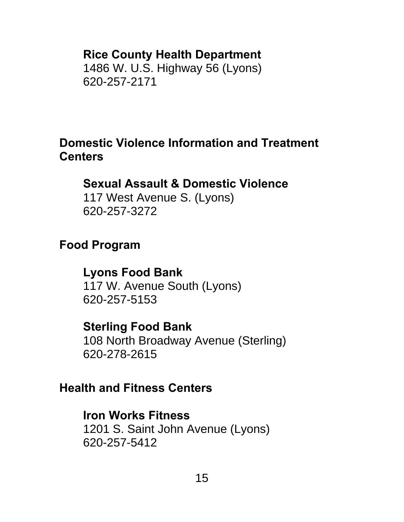## **Rice County Health Department**

 1486 W. U.S. Highway 56 (Lyons) 620-257-2171

## **Domestic Violence Information and Treatment Centers**

## **Sexual Assault & Domestic Violence**

 117 West Avenue S. (Lyons) 620-257-3272

## **Food Program**

## **Lyons Food Bank**

 117 W. Avenue South (Lyons) 620-257-5153

## **Sterling Food Bank**

 108 North Broadway Avenue (Sterling) 620-278-2615

## **Health and Fitness Centers**

### **Iron Works Fitness**

 1201 S. Saint John Avenue (Lyons) 620-257-5412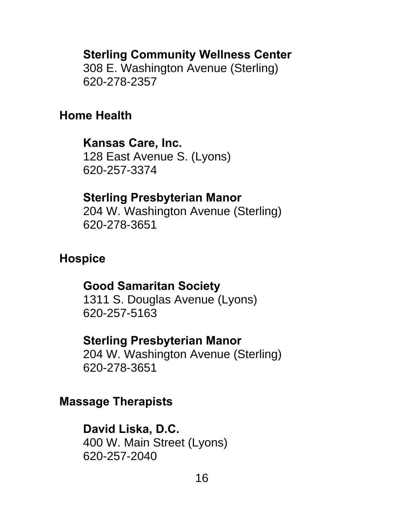### **Sterling Community Wellness Center**

 308 E. Washington Avenue (Sterling) 620-278-2357

### **Home Health**

## **Kansas Care, Inc.**

128 East Avenue S. (Lyons) 620-257-3374

#### **Sterling Presbyterian Manor**

204 W. Washington Avenue (Sterling) 620-278-3651

## **Hospice**

### **Good Samaritan Society**

 1311 S. Douglas Avenue (Lyons) 620-257-5163

#### **Sterling Presbyterian Manor**

204 W. Washington Avenue (Sterling) 620-278-3651

#### **Massage Therapists**

### **David Liska, D.C.**

 400 W. Main Street (Lyons) 620-257-2040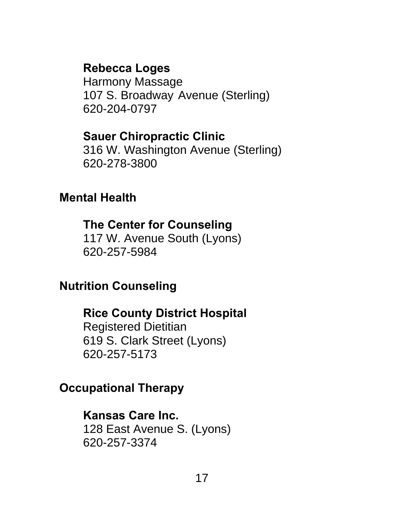## **Rebecca Loges**

 Harmony Massage 107 S. Broadway Avenue (Sterling) 620-204-0797

## **Sauer Chiropractic Clinic**

 316 W. Washington Avenue (Sterling) 620-278-3800

## **Mental Health**

### **The Center for Counseling**

 117 W. Avenue South (Lyons) 620-257-5984

## **Nutrition Counseling**

## **Rice County District Hospital**

 Registered Dietitian 619 S. Clark Street (Lyons) 620-257-5173

## **Occupational Therapy**

## **Kansas Care Inc.**

 128 East Avenue S. (Lyons) 620-257-3374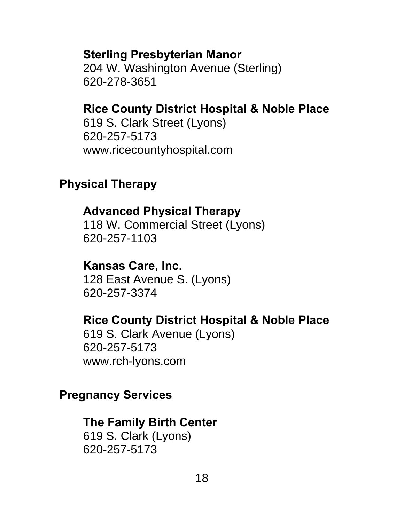#### **Sterling Presbyterian Manor**

204 W. Washington Avenue (Sterling) 620-278-3651

## **Rice County District Hospital & Noble Place**

 619 S. Clark Street (Lyons) 620-257-5173 www.ricecountyhospital.com

## **Physical Therapy**

#### **Advanced Physical Therapy**

 118 W. Commercial Street (Lyons) 620-257-1103

#### **Kansas Care, Inc.**

128 East Avenue S. (Lyons) 620-257-3374

#### **Rice County District Hospital & Noble Place**

 619 S. Clark Avenue (Lyons) 620-257-5173 www.rch-lyons.com

#### **Pregnancy Services**

### **The Family Birth Center**

 619 S. Clark (Lyons) 620-257-5173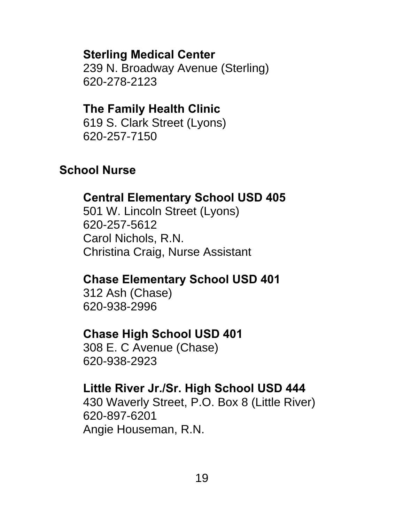## **Sterling Medical Center**

 239 N. Broadway Avenue (Sterling) 620-278-2123

## **The Family Health Clinic**

 619 S. Clark Street (Lyons) 620-257-7150

# **School Nurse**

# **Central Elementary School USD 405**

 501 W. Lincoln Street (Lyons) 620-257-5612 Carol Nichols, R.N. Christina Craig, Nurse Assistant

# **Chase Elementary School USD 401**

 312 Ash (Chase) 620-938-2996

## **Chase High School USD 401**

 308 E. C Avenue (Chase) 620-938-2923

# **Little River Jr./Sr. High School USD 444**

 430 Waverly Street, P.O. Box 8 (Little River) 620-897-6201 Angie Houseman, R.N.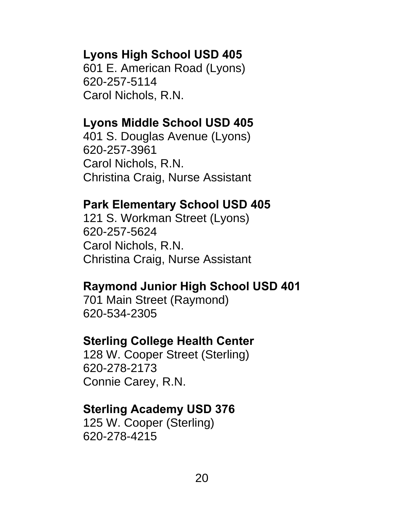## **Lyons High School USD 405**

 601 E. American Road (Lyons) 620-257-5114 Carol Nichols, R.N.

## **Lyons Middle School USD 405**

 401 S. Douglas Avenue (Lyons) 620-257-3961 Carol Nichols, R.N. Christina Craig, Nurse Assistant

## **Park Elementary School USD 405**

 121 S. Workman Street (Lyons) 620-257-5624 Carol Nichols, R.N. Christina Craig, Nurse Assistant

## **Raymond Junior High School USD 401**

 701 Main Street (Raymond) 620-534-2305

## **Sterling College Health Center**

 128 W. Cooper Street (Sterling) 620-278-2173 Connie Carey, R.N.

## **Sterling Academy USD 376**

 125 W. Cooper (Sterling) 620-278-4215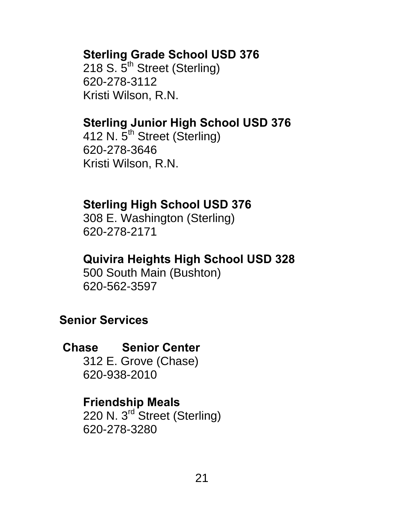## **Sterling Grade School USD 376**

218 S.  $5^{\text{th}}$  Street (Sterling) 620-278-3112 Kristi Wilson, R.N.

## **Sterling Junior High School USD 376**

412 N. 5<sup>th</sup> Street (Sterling) 620-278-3646 Kristi Wilson, R.N.

## **Sterling High School USD 376**

 308 E. Washington (Sterling) 620-278-2171

## **Quivira Heights High School USD 328**

 500 South Main (Bushton) 620-562-3597

## **Senior Services**

## **Chase Senior Center**

 312 E. Grove (Chase) 620-938-2010

### **Friendship Meals**

 220 N. 3rd Street (Sterling) 620-278-3280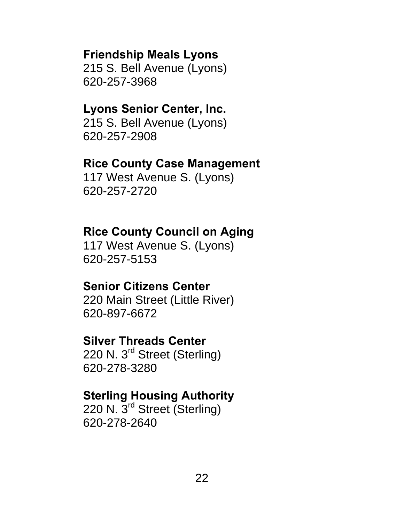#### **Friendship Meals Lyons**

 215 S. Bell Avenue (Lyons) 620-257-3968

#### **Lyons Senior Center, Inc.**

 215 S. Bell Avenue (Lyons) 620-257-2908

#### **Rice County Case Management**

 117 West Avenue S. (Lyons) 620-257-2720

#### **Rice County Council on Aging**

 117 West Avenue S. (Lyons) 620-257-5153

#### **Senior Citizens Center**

 220 Main Street (Little River) 620-897-6672

#### **Silver Threads Center**

220 N. 3<sup>rd</sup> Street (Sterling) 620-278-3280

### **Sterling Housing Authority**

 220 N. 3rd Street (Sterling) 620-278-2640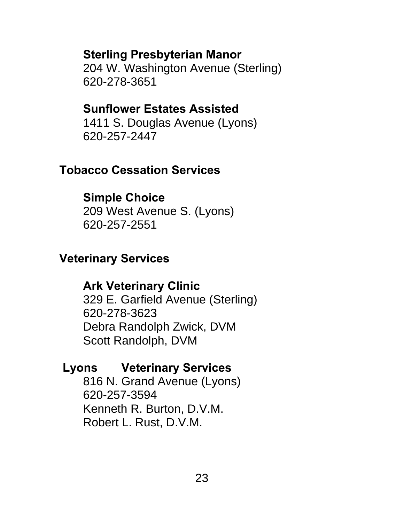## **Sterling Presbyterian Manor**

 204 W. Washington Avenue (Sterling) 620-278-3651

## **Sunflower Estates Assisted**

 1411 S. Douglas Avenue (Lyons) 620-257-2447

# **Tobacco Cessation Services**

# **Simple Choice**

 209 West Avenue S. (Lyons) 620-257-2551

# **Veterinary Services**

# **Ark Veterinary Clinic**

 329 E. Garfield Avenue (Sterling) 620-278-3623 Debra Randolph Zwick, DVM Scott Randolph, DVM

# **Lyons Veterinary Services**

 816 N. Grand Avenue (Lyons) 620-257-3594 Kenneth R. Burton, D.V.M. Robert L. Rust, D.V.M.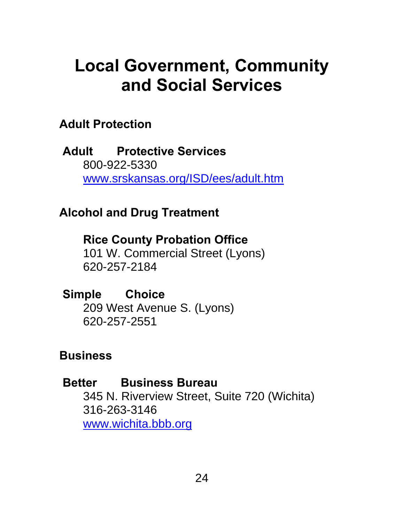# **Local Government, Community and Social Services**

## **Adult Protection**

 **Adult Protective Services**  800-922-5330 www.srskansas.org/ISD/ees/adult.htm

## **Alcohol and Drug Treatment**

**Rice County Probation Office**  101 W. Commercial Street (Lyons) 620-257-2184

 **Simple Choice**  209 West Avenue S. (Lyons) 620-257-2551

## **Business**

### **Better Business Bureau**

 345 N. Riverview Street, Suite 720 (Wichita) 316-263-3146 www.wichita.bbb.org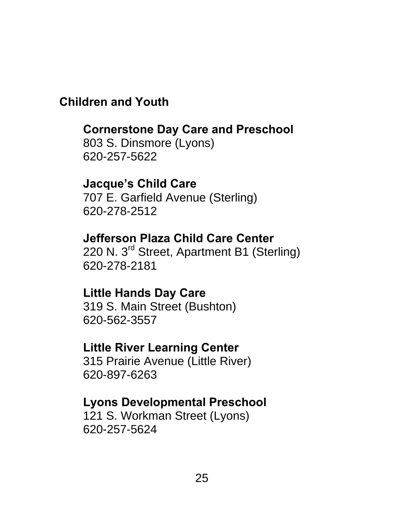## **Children and Youth**

## **Cornerstone Day Care and Preschool**

 803 S. Dinsmore (Lyons) 620-257-5622

## **Jacque's Child Care**

 707 E. Garfield Avenue (Sterling) 620-278-2512

## **Jefferson Plaza Child Care Center**

220 N. 3<sup>rd</sup> Street, Apartment B1 (Sterling) 620-278-2181

### **Little Hands Day Care**

 319 S. Main Street (Bushton) 620-562-3557

#### **Little River Learning Center**

 315 Prairie Avenue (Little River) 620-897-6263

### **Lyons Developmental Preschool**

 121 S. Workman Street (Lyons) 620-257-5624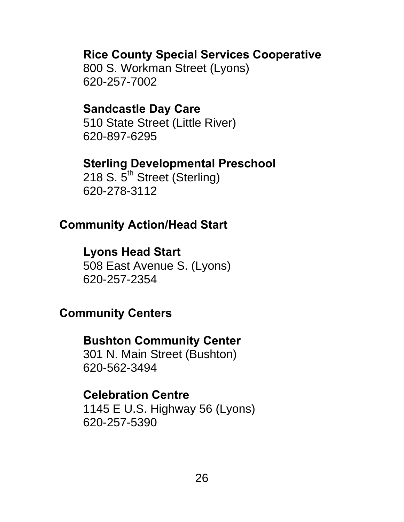### **Rice County Special Services Cooperative**

 800 S. Workman Street (Lyons) 620-257-7002

#### **Sandcastle Day Care**

 510 State Street (Little River) 620-897-6295

#### **Sterling Developmental Preschool**

218 S.  $5^{\text{th}}$  Street (Sterling) 620-278-3112

#### **Community Action/Head Start**

## **Lyons Head Start**

 508 East Avenue S. (Lyons) 620-257-2354

## **Community Centers**

#### **Bushton Community Center**

 301 N. Main Street (Bushton) 620-562-3494

#### **Celebration Centre**

 1145 E U.S. Highway 56 (Lyons) 620-257-5390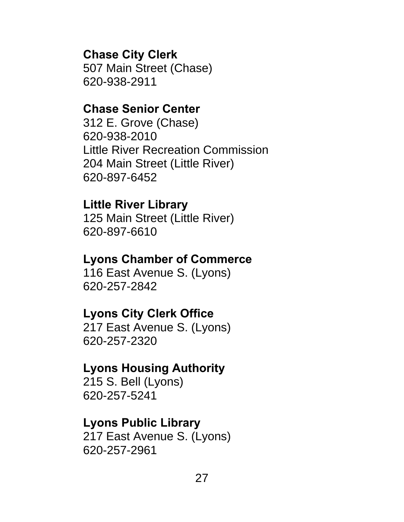#### **Chase City Clerk**

 507 Main Street (Chase) 620-938-2911

#### **Chase Senior Center**

 312 E. Grove (Chase) 620-938-2010 Little River Recreation Commission 204 Main Street (Little River) 620-897-6452

#### **Little River Library**

 125 Main Street (Little River) 620-897-6610

### **Lyons Chamber of Commerce**

 116 East Avenue S. (Lyons) 620-257-2842

#### **Lyons City Clerk Office**

 217 East Avenue S. (Lyons) 620-257-2320

### **Lyons Housing Authority**

 215 S. Bell (Lyons) 620-257-5241

#### **Lyons Public Library**

 217 East Avenue S. (Lyons) 620-257-2961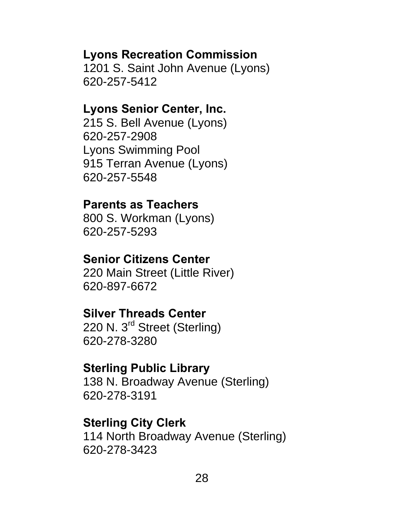## **Lyons Recreation Commission**

 1201 S. Saint John Avenue (Lyons) 620-257-5412

#### **Lyons Senior Center, Inc.**

 215 S. Bell Avenue (Lyons) 620-257-2908 Lyons Swimming Pool 915 Terran Avenue (Lyons) 620-257-5548

### **Parents as Teachers**

 800 S. Workman (Lyons) 620-257-5293

#### **Senior Citizens Center**

 220 Main Street (Little River) 620-897-6672

## **Silver Threads Center**

220 N. 3<sup>rd</sup> Street (Sterling) 620-278-3280

### **Sterling Public Library**

 138 N. Broadway Avenue (Sterling) 620-278-3191

#### **Sterling City Clerk**

 114 North Broadway Avenue (Sterling) 620-278-3423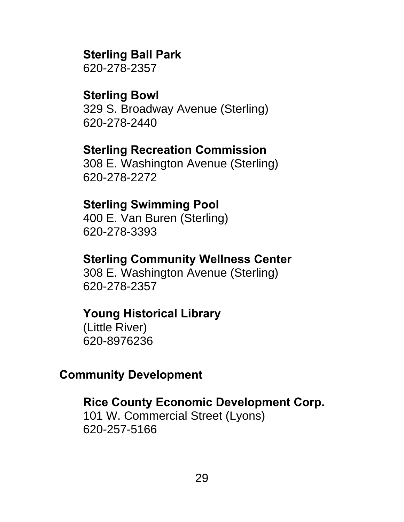## **Sterling Ball Park**

620-278-2357

## **Sterling Bowl**

 329 S. Broadway Avenue (Sterling) 620-278-2440

## **Sterling Recreation Commission**

 308 E. Washington Avenue (Sterling) 620-278-2272

## **Sterling Swimming Pool**

 400 E. Van Buren (Sterling) 620-278-3393

## **Sterling Community Wellness Center**

 308 E. Washington Avenue (Sterling) 620-278-2357

## **Young Historical Library**

(Little River) 620-8976236

## **Community Development**

## **Rice County Economic Development Corp.**

 101 W. Commercial Street (Lyons) 620-257-5166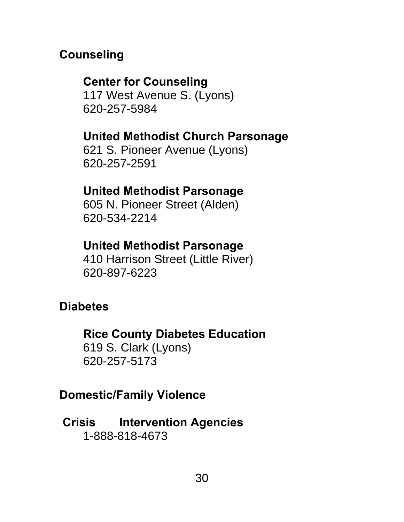# **Counseling**

# **Center for Counseling**

 117 West Avenue S. (Lyons) 620-257-5984

# **United Methodist Church Parsonage**

 621 S. Pioneer Avenue (Lyons) 620-257-2591

# **United Methodist Parsonage**

 605 N. Pioneer Street (Alden) 620-534-2214

## **United Methodist Parsonage**

 410 Harrison Street (Little River) 620-897-6223

# **Diabetes**

## **Rice County Diabetes Education**

 619 S. Clark (Lyons) 620-257-5173

# **Domestic/Family Violence**

 **Crisis Intervention Agencies**  1-888-818-4673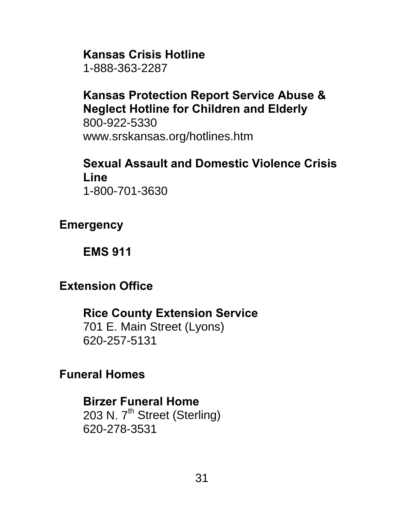#### **Kansas Crisis Hotline**

1-888-363-2287

## **Kansas Protection Report Service Abuse & Neglect Hotline for Children and Elderly**

 800-922-5330 www.srskansas.org/hotlines.htm

#### **Sexual Assault and Domestic Violence Crisis Line**  1-800-701-3630

### **Emergency**

**EMS 911** 

## **Extension Office**

## **Rice County Extension Service**

 701 E. Main Street (Lyons) 620-257-5131

### **Funeral Homes**

#### **Birzer Funeral Home**

203 N. 7<sup>th</sup> Street (Sterling) 620-278-3531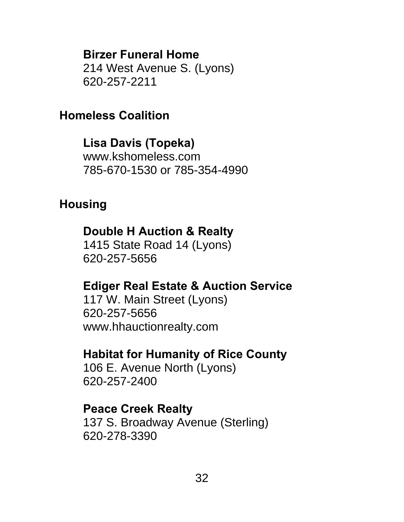**Birzer Funeral Home**  214 West Avenue S. (Lyons)

620-257-2211

## **Homeless Coalition**

**Lisa Davis (Topeka)**  www.kshomeless.com 785-670-1530 or 785-354-4990

## **Housing**

## **Double H Auction & Realty**

 1415 State Road 14 (Lyons) 620-257-5656

## **Ediger Real Estate & Auction Service**

 117 W. Main Street (Lyons) 620-257-5656 www.hhauctionrealty.com

# **Habitat for Humanity of Rice County**

 106 E. Avenue North (Lyons) 620-257-2400

### **Peace Creek Realty**

 137 S. Broadway Avenue (Sterling) 620-278-3390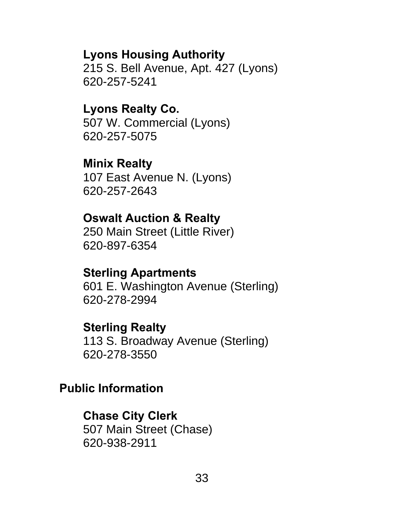**Lyons Housing Authority** 

 215 S. Bell Avenue, Apt. 427 (Lyons) 620-257-5241

**Lyons Realty Co.**  507 W. Commercial (Lyons) 620-257-5075

**Minix Realty**  107 East Avenue N. (Lyons) 620-257-2643

#### **Oswalt Auction & Realty**

 250 Main Street (Little River) 620-897-6354

#### **Sterling Apartments**

 601 E. Washington Avenue (Sterling) 620-278-2994

#### **Sterling Realty**

 113 S. Broadway Avenue (Sterling) 620-278-3550

#### **Public Information**

#### **Chase City Clerk**

 507 Main Street (Chase) 620-938-2911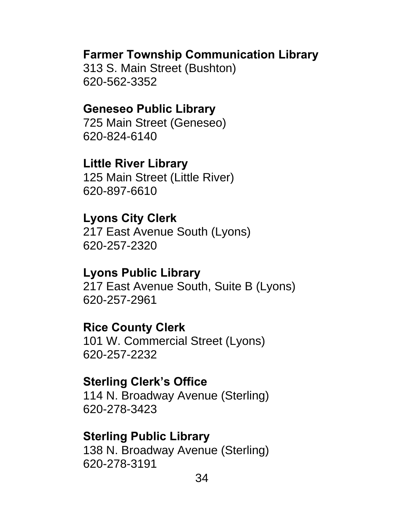#### **Farmer Township Communication Library**

 313 S. Main Street (Bushton) 620-562-3352

#### **Geneseo Public Library**

 725 Main Street (Geneseo) 620-824-6140

### **Little River Library**

 125 Main Street (Little River) 620-897-6610

### **Lyons City Clerk**

 217 East Avenue South (Lyons) 620-257-2320

#### **Lyons Public Library**

 217 East Avenue South, Suite B (Lyons) 620-257-2961

### **Rice County Clerk**

 101 W. Commercial Street (Lyons) 620-257-2232

#### **Sterling Clerk's Office**

 114 N. Broadway Avenue (Sterling) 620-278-3423

#### **Sterling Public Library**

 138 N. Broadway Avenue (Sterling) 620-278-3191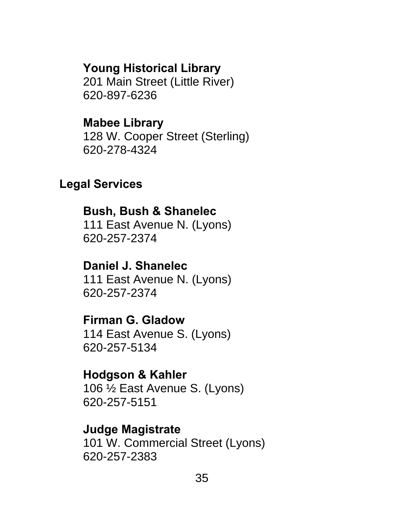#### **Young Historical Library**

 201 Main Street (Little River) 620-897-6236

#### **Mabee Library**

 128 W. Cooper Street (Sterling) 620-278-4324

#### **Legal Services**

#### **Bush, Bush & Shanelec**

 111 East Avenue N. (Lyons) 620-257-2374

#### **Daniel J. Shanelec**  111 East Avenue N. (Lyons) 620-257-2374

## **Firman G. Gladow**

 114 East Avenue S. (Lyons) 620-257-5134

#### **Hodgson & Kahler**

 106 ½ East Avenue S. (Lyons) 620-257-5151

#### **Judge Magistrate**

 101 W. Commercial Street (Lyons) 620-257-2383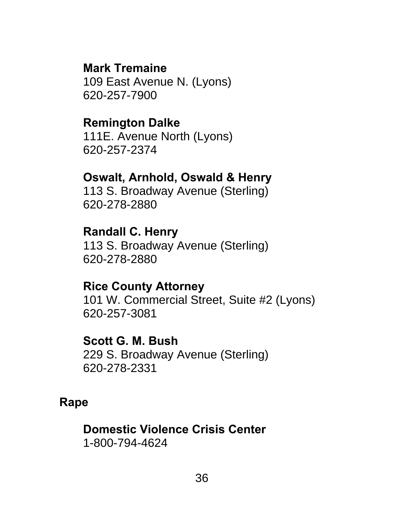#### **Mark Tremaine**

 109 East Avenue N. (Lyons) 620-257-7900

#### **Remington Dalke**

 111E. Avenue North (Lyons) 620-257-2374

## **Oswalt, Arnhold, Oswald & Henry**

113 S. Broadway Avenue (Sterling) 620-278-2880

## **Randall C. Henry**

113 S. Broadway Avenue (Sterling) 620-278-2880

### **Rice County Attorney**

 101 W. Commercial Street, Suite #2 (Lyons) 620-257-3081

#### **Scott G. M. Bush**

 229 S. Broadway Avenue (Sterling) 620-278-2331

#### **Rape**

**Domestic Violence Crisis Center**  1-800-794-4624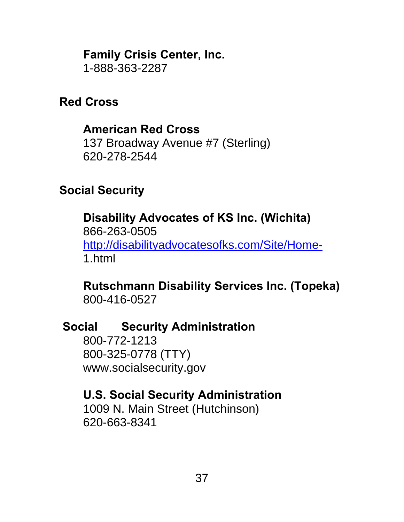**Family Crisis Center, Inc.** 

1-888-363-2287

## **Red Cross**

## **American Red Cross**

 137 Broadway Avenue #7 (Sterling) 620-278-2544

## **Social Security**

**Disability Advocates of KS Inc. (Wichita)**  866-263-0505 http://disabilityadvocatesofks.com/Site/Home-1.html

#### **Rutschmann Disability Services Inc. (Topeka)**  800-416-0527

## **Social Security Administration**

 800-772-1213 800-325-0778 (TTY) www.socialsecurity.gov

## **U.S. Social Security Administration**

 1009 N. Main Street (Hutchinson) 620-663-8341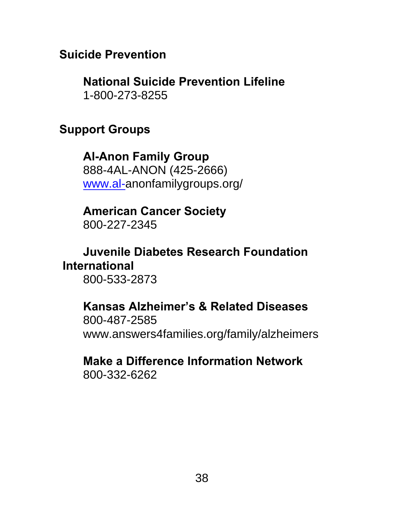#### **Suicide Prevention**

 **National Suicide Prevention Lifeline**  1-800-273-8255

#### **Support Groups**

**Al-Anon Family Group**  888-4AL-ANON (425-2666) www.al-anonfamilygroups.org/

**American Cancer Society**  800-227-2345

## **Juvenile Diabetes Research Foundation International**

800-533-2873

## **Kansas Alzheimer's & Related Diseases**  800-487-2585

www.answers4families.org/family/alzheimers

### **Make a Difference Information Network**  800-332-6262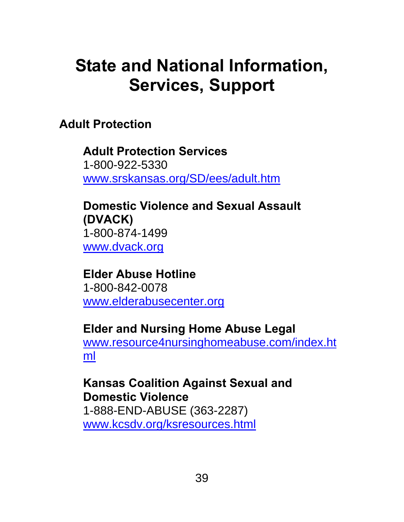# **State and National Information, Services, Support**

**Adult Protection** 

**Adult Protection Services**  1-800-922-5330 www.srskansas.org/SD/ees/adult.htm

**Domestic Violence and Sexual Assault (DVACK)**  1-800-874-1499 www.dvack.org

**Elder Abuse Hotline**  1-800-842-0078 www.elderabusecenter.org

## **Elder and Nursing Home Abuse Legal**

www.resource4nursinghomeabuse.com/index.ht ml

#### **Kansas Coalition Against Sexual and Domestic Violence**  1-888-END-ABUSE (363-2287)

www.kcsdv.org/ksresources.html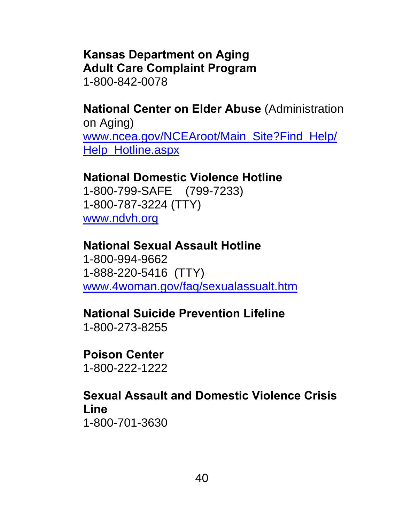## **Kansas Department on Aging Adult Care Complaint Program**

1-800-842-0078

**National Center on Elder Abuse** (Administration on Aging) www.ncea.gov/NCEAroot/Main\_Site?Find\_Help/ Help\_Hotline.aspx

## **National Domestic Violence Hotline**

1-800-799-SAFE (799-7233) 1-800-787-3224 (TTY) www.ndvh.org

#### **National Sexual Assault Hotline**

1-800-994-9662 1-888-220-5416 (TTY) www.4woman.gov/faq/sexualassualt.htm

### **National Suicide Prevention Lifeline**

1-800-273-8255

#### **Poison Center**  1-800-222-1222

#### **Sexual Assault and Domestic Violence Crisis Line**  1-800-701-3630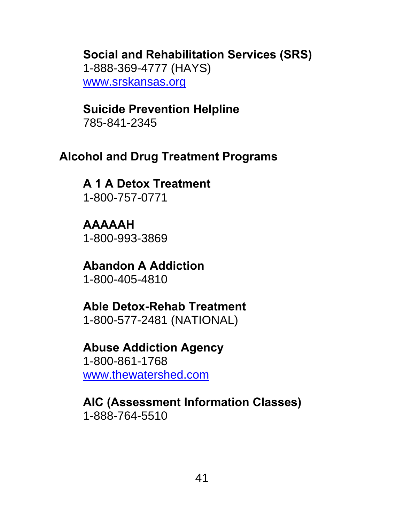#### **Social and Rehabilitation Services (SRS)**  1-888-369-4777 (HAYS) www.srskansas.org

## **Suicide Prevention Helpline**

785-841-2345

## **Alcohol and Drug Treatment Programs**

**A 1 A Detox Treatment**  1-800-757-0771

**AAAAAH**  1-800-993-3869

**Abandon A Addiction**  1-800-405-4810

#### **Able Detox-Rehab Treatment**  1-800-577-2481 (NATIONAL)

## **Abuse Addiction Agency**

1-800-861-1768 www.thewatershed.com

## **AIC (Assessment Information Classes)**  1-888-764-5510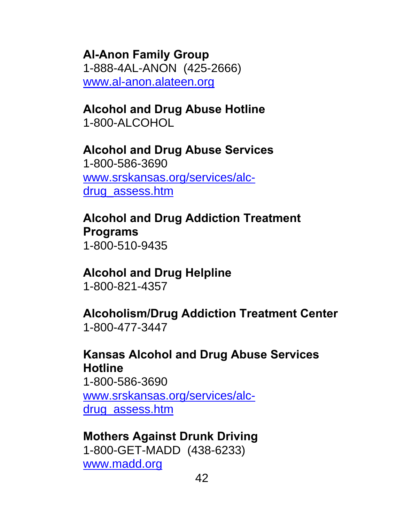**Al-Anon Family Group**  1-888-4AL-ANON (425-2666) www.al-anon.alateen.org

#### **Alcohol and Drug Abuse Hotline**  1-800-ALCOHOL

#### **Alcohol and Drug Abuse Services**  1-800-586-3690 www.srskansas.org/services/alcdrug\_assess.htm

## **Alcohol and Drug Addiction Treatment Programs**  1-800-510-9435

#### **Alcohol and Drug Helpline**  1-800-821-4357

#### **Alcoholism/Drug Addiction Treatment Center**  1-800-477-3447

#### **Kansas Alcohol and Drug Abuse Services Hotline**  1-800-586-3690

www.srskansas.org/services/alcdrug\_assess.htm

## **Mothers Against Drunk Driving**

1-800-GET-MADD (438-6233) www.madd.org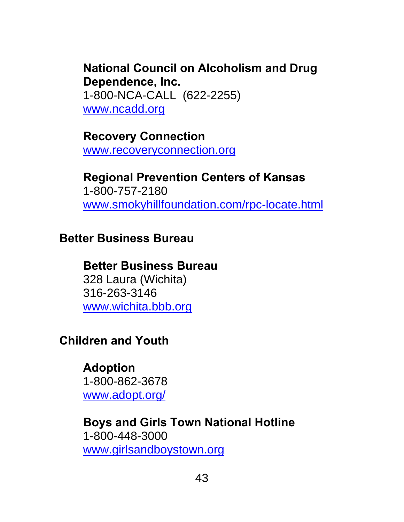## **National Council on Alcoholism and Drug Dependence, Inc.**

1-800-NCA-CALL (622-2255) www.ncadd.org

**Recovery Connection**  www.recoveryconnection.org

**Regional Prevention Centers of Kansas**  1-800-757-2180 www.smokyhillfoundation.com/rpc-locate.html

### **Better Business Bureau**

### **Better Business Bureau**

328 Laura (Wichita) 316-263-3146 www.wichita.bbb.org

## **Children and Youth**

**Adoption**  1-800-862-3678 www.adopt.org/

**Boys and Girls Town National Hotline**  1-800-448-3000 www.girlsandboystown.org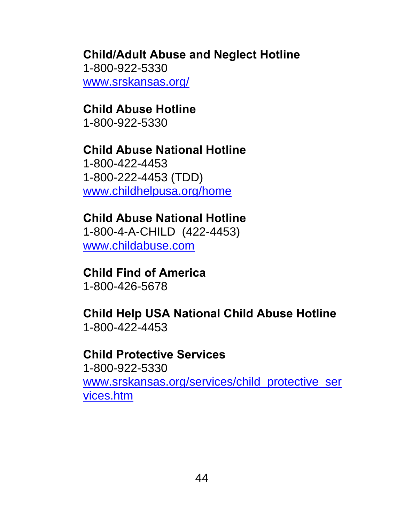## **Child/Adult Abuse and Neglect Hotline**  1-800-922-5330

www.srskansas.org/

## **Child Abuse Hotline**

1-800-922-5330

# **Child Abuse National Hotline**

 1-800-422-4453 1-800-222-4453 (TDD) www.childhelpusa.org/home

## **Child Abuse National Hotline**

1-800-4-A-CHILD (422-4453) www.childabuse.com

## **Child Find of America**

1-800-426-5678

#### **Child Help USA National Child Abuse Hotline**  1-800-422-4453

### **Child Protective Services**

 1-800-922-5330 www.srskansas.org/services/child\_protective\_ser vices.htm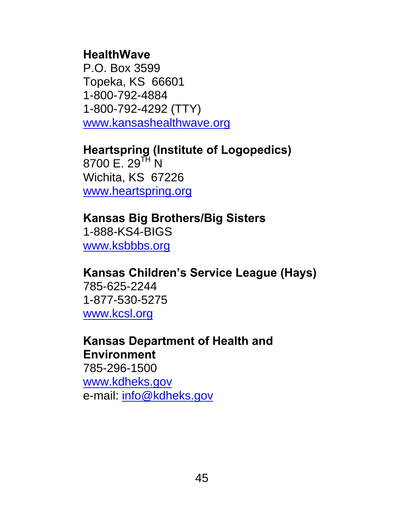#### **HealthWave**

P.O. Box 3599 Topeka, KS 66601 1-800-792-4884 1-800-792-4292 (TTY) www.kansashealthwave.org

## **Heartspring (Institute of Logopedics)**

 $8700$  E. 29<sup>TH</sup> N Wichita, KS 67226 www.heartspring.org

#### **Kansas Big Brothers/Big Sisters**  1-888-KS4-BIGS www.ksbbbs.org

### **Kansas Children's Service League (Hays)**

785-625-2244 1-877-530-5275 www.kcsl.org

#### **Kansas Department of Health and Environment**

785-296-1500 www.kdheks.gov e-mail: info@kdheks.gov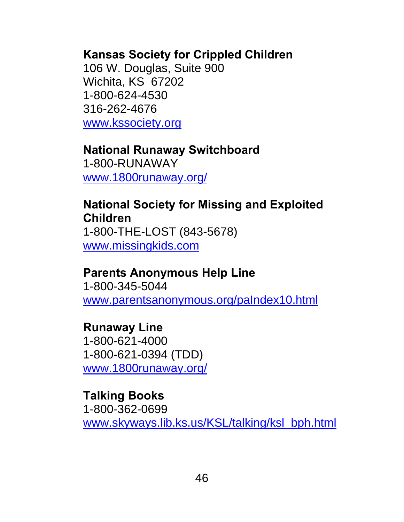#### **Kansas Society for Crippled Children**

106 W. Douglas, Suite 900 Wichita, KS 67202 1-800-624-4530 316-262-4676 www.kssociety.org

## **National Runaway Switchboard**

1-800-RUNAWAY www.1800runaway.org/

#### **National Society for Missing and Exploited Children**  1-800-THE-LOST (843-5678)

www.missingkids.com

### **Parents Anonymous Help Line**

 1-800-345-5044 www.parentsanonymous.org/paIndex10.html

### **Runaway Line**

 1-800-621-4000 1-800-621-0394 (TDD) www.1800runaway.org/

### **Talking Books**  1-800-362-0699 www.skyways.lib.ks.us/KSL/talking/ksl\_bph.html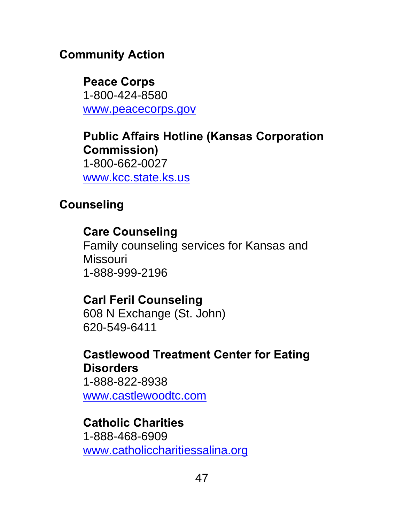## **Community Action**

**Peace Corps**  1-800-424-8580 www.peacecorps.gov

**Public Affairs Hotline (Kansas Corporation Commission)**  1-800-662-0027 www.kcc.state.ks.us

## **Counseling**

## **Care Counseling**

Family counseling services for Kansas and **Missouri** 1-888-999-2196

## **Carl Feril Counseling**

 608 N Exchange (St. John) 620-549-6411

#### **Castlewood Treatment Center for Eating Disorders** 1-888-822-8938

www.castlewoodtc.com

## **Catholic Charities**

1-888-468-6909 www.catholiccharitiessalina.org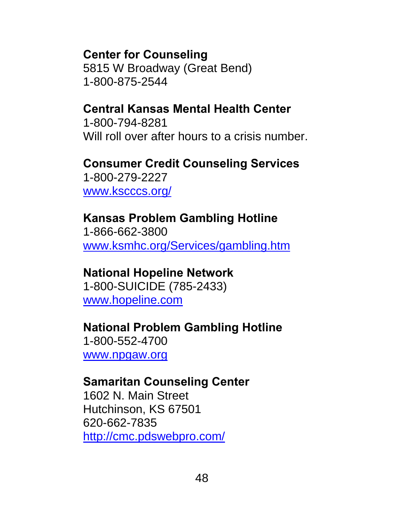#### **Center for Counseling**

 5815 W Broadway (Great Bend) 1-800-875-2544

#### **Central Kansas Mental Health Center**

1-800-794-8281 Will roll over after hours to a crisis number.

## **Consumer Credit Counseling Services**

 1-800-279-2227 www.kscccs.org/

#### **Kansas Problem Gambling Hotline**

 1-866-662-3800 www.ksmhc.org/Services/gambling.htm

#### **National Hopeline Network**

1-800-SUICIDE (785-2433) www.hopeline.com

### **National Problem Gambling Hotline**

1-800-552-4700 www.npgaw.org

#### **Samaritan Counseling Center**

1602 N. Main Street Hutchinson, KS 67501 620-662-7835 http://cmc.pdswebpro.com/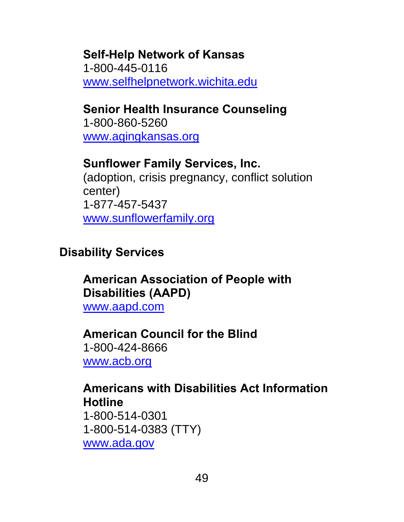#### **Self-Help Network of Kansas**  1-800-445-0116 www.selfhelpnetwork.wichita.edu

## **Senior Health Insurance Counseling**

1-800-860-5260 www.agingkansas.org

## **Sunflower Family Services, Inc.**

(adoption, crisis pregnancy, conflict solution center) 1-877-457-5437 www.sunflowerfamily.org

## **Disability Services**

## **American Association of People with Disabilities (AAPD)**

www.aapd.com

## **American Council for the Blind**

1-800-424-8666 www.acb.org

#### **Americans with Disabilities Act Information Hotline**

1-800-514-0301 1-800-514-0383 (TTY) www.ada.gov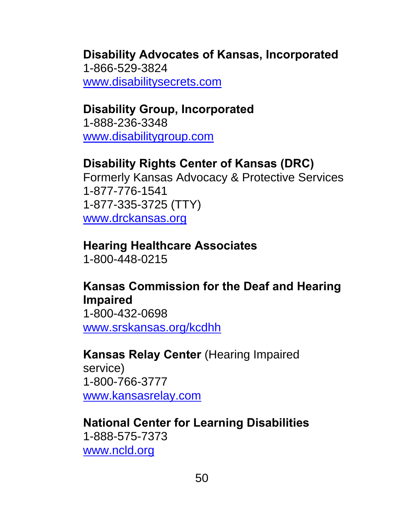## **Disability Advocates of Kansas, Incorporated**  1-866-529-3824

www.disabilitysecrets.com

## **Disability Group, Incorporated**

1-888-236-3348 www.disabilitygroup.com

## **Disability Rights Center of Kansas (DRC)**

Formerly Kansas Advocacy & Protective Services 1-877-776-1541 1-877-335-3725 (TTY) www.drckansas.org

## **Hearing Healthcare Associates**

1-800-448-0215

## **Kansas Commission for the Deaf and Hearing Impaired**

1-800-432-0698 www.srskansas.org/kcdhh

### **Kansas Relay Center** (Hearing Impaired

service) 1-800-766-3777 www.kansasrelay.com

## **National Center for Learning Disabilities**

1-888-575-7373 www.ncld.org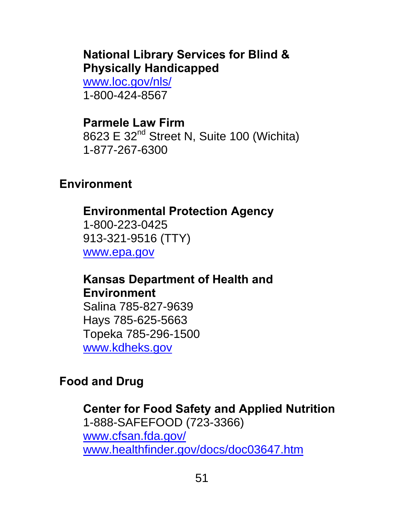### **National Library Services for Blind & Physically Handicapped**

www.loc.gov/nls/ 1-800-424-8567

**Parmele Law Firm**  8623 E 32<sup>nd</sup> Street N, Suite 100 (Wichita) 1-877-267-6300

### **Environment**

#### **Environmental Protection Agency**

1-800-223-0425 913-321-9516 (TTY) www.epa.gov

**Kansas Department of Health and Environment** 

Salina 785-827-9639 Hays 785-625-5663 Topeka 785-296-1500 www.kdheks.gov

### **Food and Drug**

**Center for Food Safety and Applied Nutrition**  1-888-SAFEFOOD (723-3366) www.cfsan.fda.gov/ www.healthfinder.gov/docs/doc03647.htm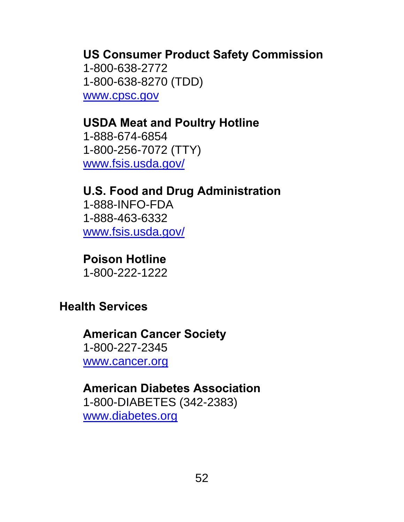## **US Consumer Product Safety Commission**

 1-800-638-2772 1-800-638-8270 (TDD) www.cpsc.gov

## **USDA Meat and Poultry Hotline**

1-888-674-6854 1-800-256-7072 (TTY) www.fsis.usda.gov/

## **U.S. Food and Drug Administration**  1-888-INFO-FDA 1-888-463-6332

www.fsis.usda.gov/

**Poison Hotline**  1-800-222-1222

## **Health Services**

#### **American Cancer Society**  1-800-227-2345 www.cancer.org

### **American Diabetes Association**

1-800-DIABETES (342-2383) www.diabetes.org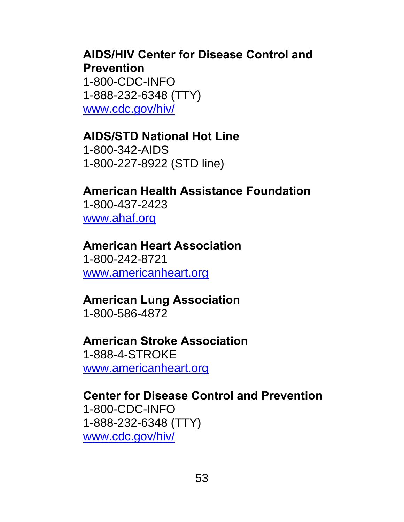#### **AIDS/HIV Center for Disease Control and Prevention**

 1-800-CDC-INFO 1-888-232-6348 (TTY) www.cdc.gov/hiv/

### **AIDS/STD National Hot Line**

 1-800-342-AIDS 1-800-227-8922 (STD line)

## **American Health Assistance Foundation**

 1-800-437-2423 www.ahaf.org

#### **American Heart Association**  1-800-242-8721 www.americanheart.org

## **American Lung Association**

1-800-586-4872

#### **American Stroke Association**  1-888-4-STROKE

www.americanheart.org

#### **Center for Disease Control and Prevention**  1-800-CDC-INFO 1-888-232-6348 (TTY) www.cdc.gov/hiv/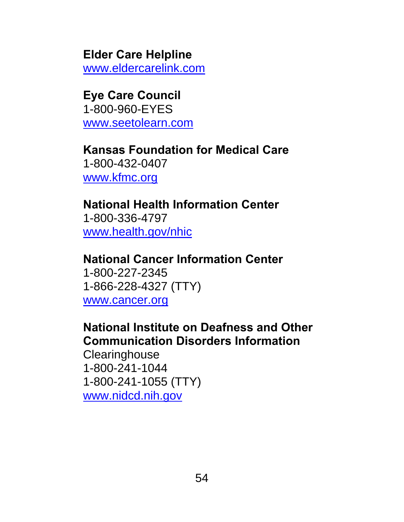#### **Elder Care Helpline**

www.eldercarelink.com

## **Eye Care Council**

 1-800-960-EYES www.seetolearn.com

# **Kansas Foundation for Medical Care**

 1-800-432-0407 www.kfmc.org

#### **National Health Information Center**  1-800-336-4797

www.health.gov/nhic

### **National Cancer Information Center**

 1-800-227-2345 1-866-228-4327 (TTY) www.cancer.org

### **National Institute on Deafness and Other Communication Disorders Information**

**Clearinghouse**  1-800-241-1044 1-800-241-1055 (TTY) www.nidcd.nih.gov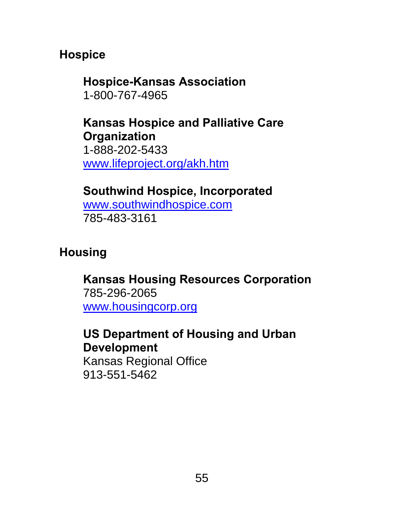### **Hospice**

#### **Hospice-Kansas Association**  1-800-767-4965

#### **Kansas Hospice and Palliative Care Organization**  1-888-202-5433 www.lifeproject.org/akh.htm

## **Southwind Hospice, Incorporated**

www.southwindhospice.com 785-483-3161

## **Housing**

### **Kansas Housing Resources Corporation**  785-296-2065 www.housingcorp.org

## **US Department of Housing and Urban Development**

Kansas Regional Office 913-551-5462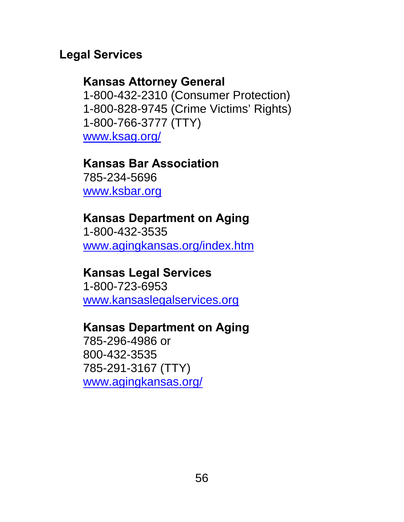#### **Legal Services**

#### **Kansas Attorney General**

 1-800-432-2310 (Consumer Protection) 1-800-828-9745 (Crime Victims' Rights) 1-800-766-3777 (TTY) www.ksag.org/

#### **Kansas Bar Association**

 785-234-5696 www.ksbar.org

#### **Kansas Department on Aging**

 1-800-432-3535 www.agingkansas.org/index.htm

#### **Kansas Legal Services**

 1-800-723-6953 www.kansaslegalservices.org

#### **Kansas Department on Aging**

 785-296-4986 or 800-432-3535 785-291-3167 (TTY) www.agingkansas.org/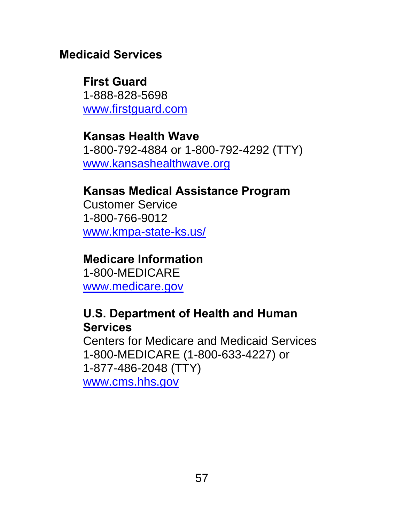### **Medicaid Services**

**First Guard**  1-888-828-5698 www.firstguard.com

**Kansas Health Wave**  1-800-792-4884 or 1-800-792-4292 (TTY) www.kansashealthwave.org

## **Kansas Medical Assistance Program**

Customer Service 1-800-766-9012 www.kmpa-state-ks.us/

## **Medicare Information**

1-800-MEDICARE www.medicare.gov

### **U.S. Department of Health and Human Services**

Centers for Medicare and Medicaid Services 1-800-MEDICARE (1-800-633-4227) or 1-877-486-2048 (TTY) www.cms.hhs.gov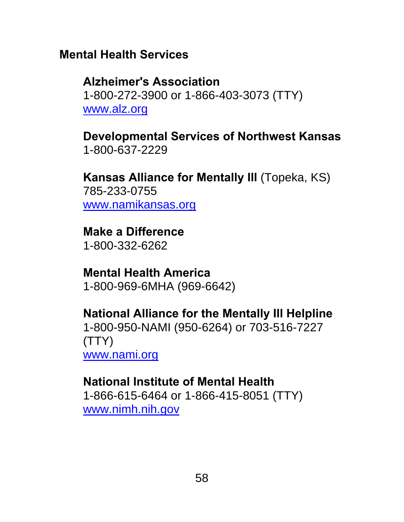### **Mental Health Services**

#### **Alzheimer's Association**  1-800-272-3900 or 1-866-403-3073 (TTY)

www.alz.org

**Developmental Services of Northwest Kansas**  1-800-637-2229

**Kansas Alliance for Mentally Ill** (Topeka, KS) 785-233-0755 www.namikansas.org

**Make a Difference**  1-800-332-6262

**Mental Health America**  1-800-969-6MHA (969-6642)

#### **National Alliance for the Mentally Ill Helpline**  1-800-950-NAMI (950-6264) or 703-516-7227 (TTY) www.nami.org

## **National Institute of Mental Health**

1-866-615-6464 or 1-866-415-8051 (TTY) www.nimh.nih.gov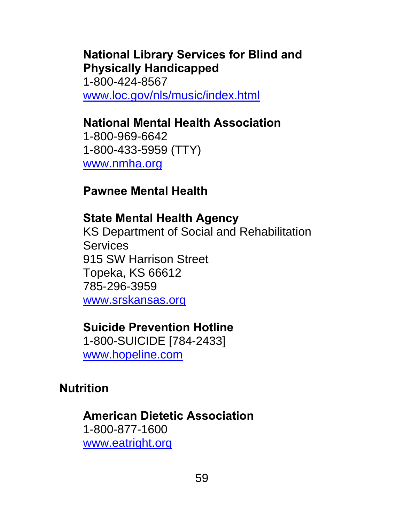## **National Library Services for Blind and Physically Handicapped**

1-800-424-8567 www.loc.gov/nls/music/index.html

## **National Mental Health Association**

 1-800-969-6642 1-800-433-5959 (TTY) www.nmha.org

**Pawnee Mental Health** 

### **State Mental Health Agency**

KS Department of Social and Rehabilitation **Services** 915 SW Harrison Street Topeka, KS 66612 785-296-3959 www.srskansas.org

## **Suicide Prevention Hotline**

1-800-SUICIDE [784-2433] www.hopeline.com

## **Nutrition**

**American Dietetic Association**  1-800-877-1600 www.eatright.org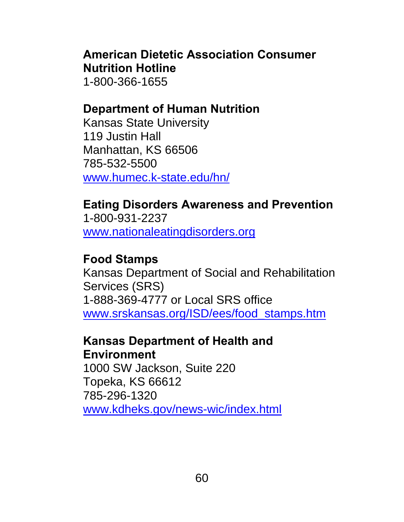### **American Dietetic Association Consumer Nutrition Hotline**

1-800-366-1655

## **Department of Human Nutrition**

Kansas State University 119 Justin Hall Manhattan, KS 66506 785-532-5500 www.humec.k-state.edu/hn/

## **Eating Disorders Awareness and Prevention**

1-800-931-2237 www.nationaleatingdisorders.org

## **Food Stamps**

Kansas Department of Social and Rehabilitation Services (SRS) 1-888-369-4777 or Local SRS office www.srskansas.org/ISD/ees/food\_stamps.htm

#### **Kansas Department of Health and Environment**

1000 SW Jackson, Suite 220 Topeka, KS 66612 785-296-1320 www.kdheks.gov/news-wic/index.html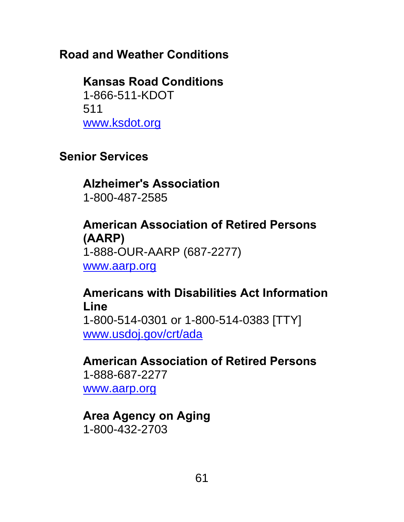## **Road and Weather Conditions**

#### **Kansas Road Conditions**  1-866-511-KDOT 511

www.ksdot.org

## **Senior Services**

## **Alzheimer's Association**  1-800-487-2585

## **American Association of Retired Persons (AARP)**  1-888-OUR-AARP (687-2277) www.aarp.org

## **Americans with Disabilities Act Information Line**

1-800-514-0301 or 1-800-514-0383 [TTY] www.usdoj.gov/crt/ada

**American Association of Retired Persons**  1-888-687-2277

www.aarp.org

### **Area Agency on Aging**  1-800-432-2703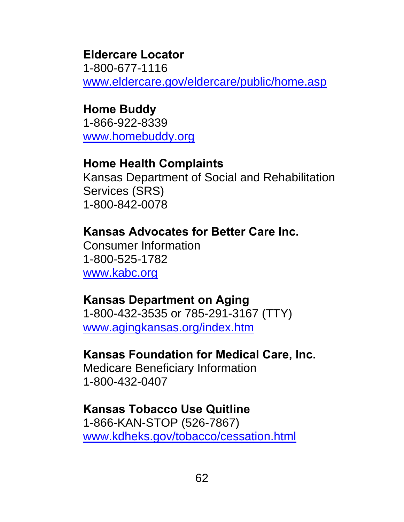#### **Eldercare Locator**

1-800-677-1116 www.eldercare.gov/eldercare/public/home.asp

#### **Home Buddy**

1-866-922-8339 www.homebuddy.org

#### **Home Health Complaints**

Kansas Department of Social and Rehabilitation Services (SRS) 1-800-842-0078

### **Kansas Advocates for Better Care Inc.**

Consumer Information 1-800-525-1782 www.kabc.org

### **Kansas Department on Aging**

1-800-432-3535 or 785-291-3167 (TTY) www.agingkansas.org/index.htm

### **Kansas Foundation for Medical Care, Inc.**

Medicare Beneficiary Information 1-800-432-0407

## **Kansas Tobacco Use Quitline**

1-866-KAN-STOP (526-7867) www.kdheks.gov/tobacco/cessation.html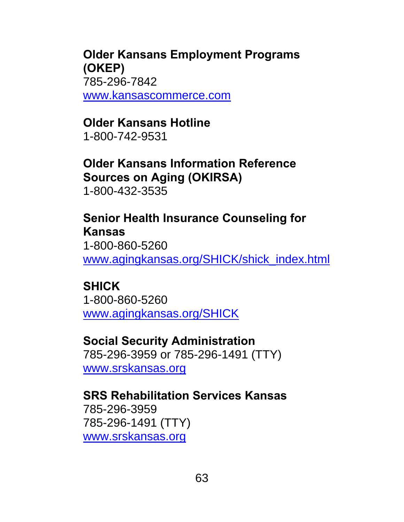**Older Kansans Employment Programs (OKEP)**  785-296-7842 www.kansascommerce.com

## **Older Kansans Hotline**

1-800-742-9531

## **Older Kansans Information Reference Sources on Aging (OKIRSA)**

1-800-432-3535

#### **Senior Health Insurance Counseling for Kansas**

1-800-860-5260 www.agingkansas.org/SHICK/shick\_index.html

### **SHICK**

1-800-860-5260 www.agingkansas.org/SHICK

#### **Social Security Administration**

785-296-3959 or 785-296-1491 (TTY) www.srskansas.org

**SRS Rehabilitation Services Kansas**  785-296-3959 785-296-1491 (TTY) www.srskansas.org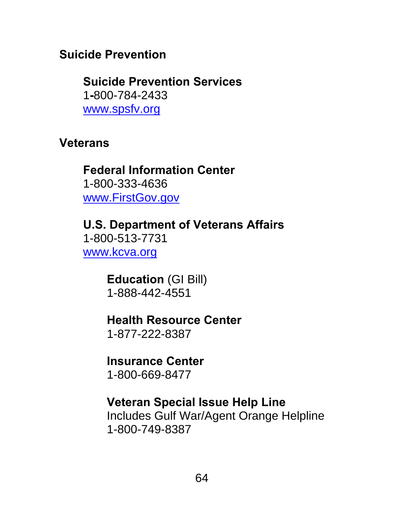### **Suicide Prevention**

**Suicide Prevention Services**  1**-**800-784-2433 www.spsfv.org

#### **Veterans**

### **Federal Information Center**  1-800-333-4636 www.FirstGov.gov

**U.S. Department of Veterans Affairs**  1-800-513-7731 www.kcva.org

> **Education** (GI Bill) 1-888-442-4551

## **Health Resource Center**

1-877-222-8387

## **Insurance Center**

1-800-669-8477

### **Veteran Special Issue Help Line**

Includes Gulf War/Agent Orange Helpline 1-800-749-8387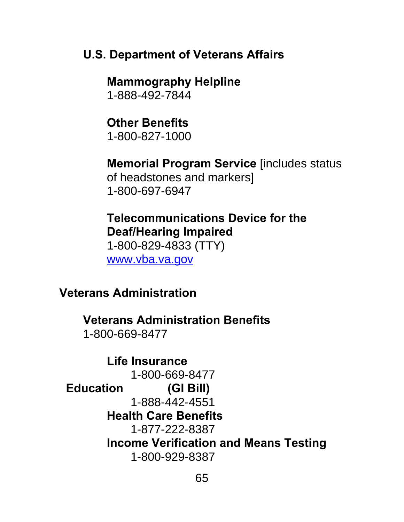#### **U.S. Department of Veterans Affairs**

 **Mammography Helpline**  1-888-492-7844

**Other Benefits**  1-800-827-1000

**Memorial Program Service** [includes status of headstones and markers] 1-800-697-6947

### **Telecommunications Device for the Deaf/Hearing Impaired**

 1-800-829-4833 (TTY) www.vba.va.gov

#### **Veterans Administration**

**Veterans Administration Benefits**  1-800-669-8477

**Life Insurance**  1-800-669-8477  **Education (GI Bill)**  1-888-442-4551 **Health Care Benefits**  1-877-222-8387 **Income Verification and Means Testing**  1-800-929-8387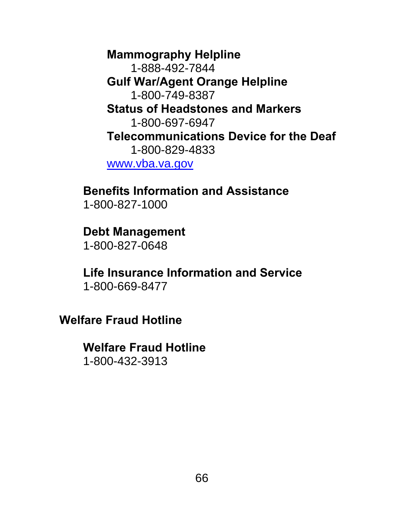**Mammography Helpline**  1-888-492-7844 **Gulf War/Agent Orange Helpline**  1-800-749-8387 **Status of Headstones and Markers**  1-800-697-6947 **Telecommunications Device for the Deaf**  1-800-829-4833 www.vba.va.gov

## **Benefits Information and Assistance**

1-800-827-1000

#### **Debt Management**

1-800-827-0648

# **Life Insurance Information and Service**

1-800-669-8477

**Welfare Fraud Hotline** 

### **Welfare Fraud Hotline**

1-800-432-3913